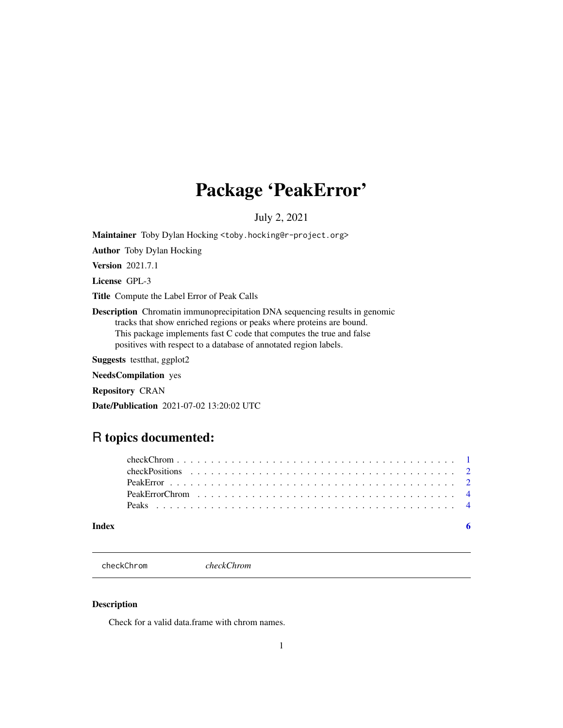# <span id="page-0-0"></span>Package 'PeakError'

July 2, 2021

Maintainer Toby Dylan Hocking <toby.hocking@r-project.org>

Author Toby Dylan Hocking

Version 2021.7.1

License GPL-3

Title Compute the Label Error of Peak Calls

Description Chromatin immunoprecipitation DNA sequencing results in genomic tracks that show enriched regions or peaks where proteins are bound. This package implements fast C code that computes the true and false positives with respect to a database of annotated region labels.

Suggests testthat, ggplot2

NeedsCompilation yes

Repository CRAN

Date/Publication 2021-07-02 13:20:02 UTC

# R topics documented:

checkChrom *checkChrom*

#### Description

Check for a valid data.frame with chrom names.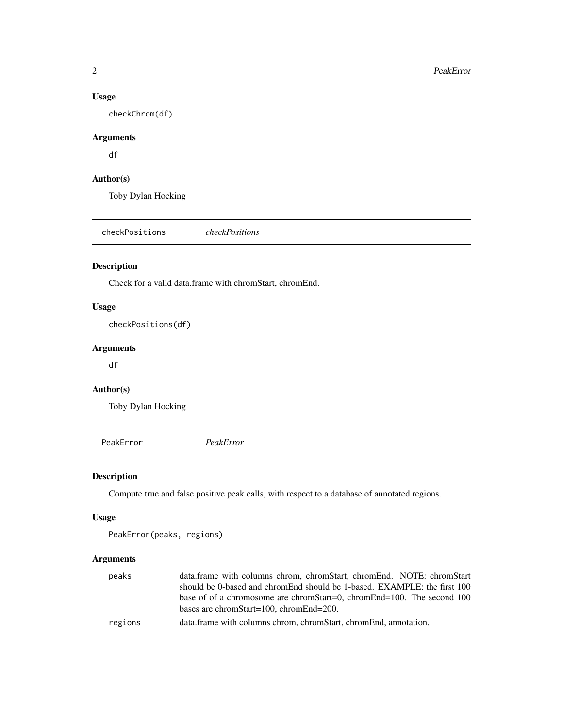#### Usage

checkChrom(df)

# Arguments

df

# Author(s)

Toby Dylan Hocking

checkPositions *checkPositions*

#### Description

Check for a valid data.frame with chromStart, chromEnd.

#### Usage

checkPositions(df)

#### Arguments

df

# Author(s)

Toby Dylan Hocking

PeakError *PeakError*

### Description

Compute true and false positive peak calls, with respect to a database of annotated regions.

#### Usage

```
PeakError(peaks, regions)
```
#### Arguments

| peaks   | data.frame with columns chrom, chromStart, chromEnd. NOTE: chromStart    |
|---------|--------------------------------------------------------------------------|
|         | should be 0-based and chromEnd should be 1-based. EXAMPLE: the first 100 |
|         | base of of a chromosome are chromStart=0, chromEnd=100. The second 100   |
|         | bases are chrom $Start=100$ , chrom $End=200$ .                          |
| regions | data.frame with columns chrom, chromStart, chromEnd, annotation.         |

<span id="page-1-0"></span>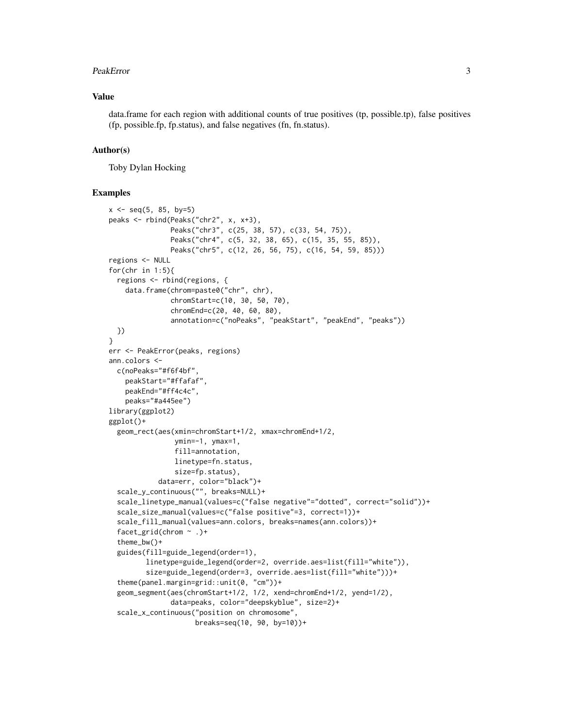#### PeakError 3

#### Value

data.frame for each region with additional counts of true positives (tp, possible.tp), false positives (fp, possible.fp, fp.status), and false negatives (fn, fn.status).

#### Author(s)

Toby Dylan Hocking

#### Examples

```
x \le - seq(5, 85, by=5)
peaks <- rbind(Peaks("chr2", x, x+3),
               Peaks("chr3", c(25, 38, 57), c(33, 54, 75)),
               Peaks("chr4", c(5, 32, 38, 65), c(15, 35, 55, 85)),
               Peaks("chr5", c(12, 26, 56, 75), c(16, 54, 59, 85)))
regions <- NULL
for(chr in 1:5){
  regions <- rbind(regions, {
    data.frame(chrom=paste0("chr", chr),
               chromStart=c(10, 30, 50, 70),
               chromEnd=c(20, 40, 60, 80),
               annotation=c("noPeaks", "peakStart", "peakEnd", "peaks"))
  })
}
err <- PeakError(peaks, regions)
ann.colors <-
  c(noPeaks="#f6f4bf",
    peakStart="#ffafaf",
   peakEnd="#ff4c4c",
   peaks="#a445ee")
library(ggplot2)
ggplot()+
  geom_rect(aes(xmin=chromStart+1/2, xmax=chromEnd+1/2,
                ymin=-1, ymax=1,
                fill=annotation,
                linetype=fn.status,
                size=fp.status),
            data=err, color="black")+
  scale_y_continuous("", breaks=NULL)+
  scale_linetype_manual(values=c("false negative"="dotted", correct="solid"))+
  scale_size_manual(values=c("false positive"=3, correct=1))+
  scale_fill_manual(values=ann.colors, breaks=names(ann.colors))+
  facet_grid(chrom ~ .)+
  theme_bw()+
  guides(fill=guide_legend(order=1),
         linetype=guide_legend(order=2, override.aes=list(fill="white")),
         size=guide_legend(order=3, override.aes=list(fill="white")))+
  theme(panel.margin=grid::unit(0, "cm"))+
  geom_segment(aes(chromStart+1/2, 1/2, xend=chromEnd+1/2, yend=1/2),
               data=peaks, color="deepskyblue", size=2)+
  scale_x_continuous("position on chromosome",
                     breaks=seq(10, 90, by=10))+
```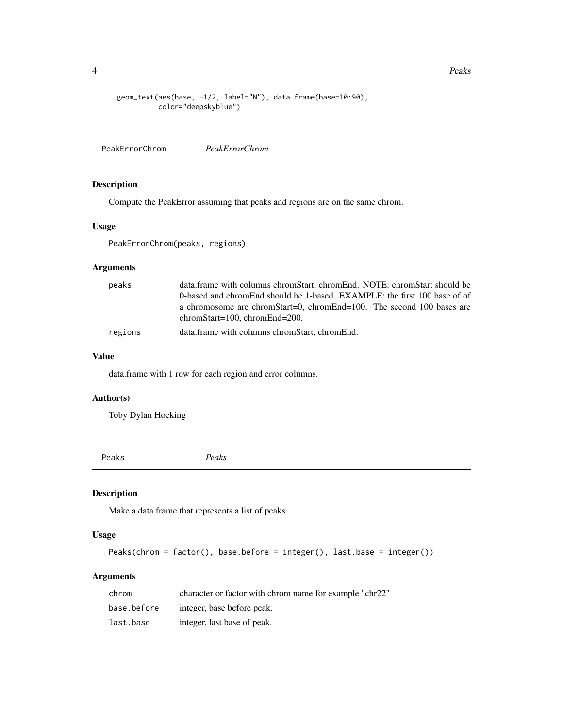4 Peaks

```
geom_text(aes(base, -1/2, label="N"), data.frame(base=10:90),
          color="deepskyblue")
```
PeakErrorChrom *PeakErrorChrom*

#### Description

Compute the PeakError assuming that peaks and regions are on the same chrom.

#### Usage

PeakErrorChrom(peaks, regions)

# Arguments

| peaks   | data.frame with columns chromStart, chromEnd. NOTE: chromStart should be                                     |
|---------|--------------------------------------------------------------------------------------------------------------|
|         | 0-based and chromEnd should be 1-based. EXAMPLE: the first 100 base of of                                    |
|         | a chromosome are chromStart=0, chromEnd=100. The second 100 bases are<br>$chromStart=100$ , $chromEnd=200$ . |
| regions | data.frame with columns chromStart, chromEnd.                                                                |

#### Value

data.frame with 1 row for each region and error columns.

# Author(s)

Toby Dylan Hocking

Peaks *Peaks*

#### Description

Make a data.frame that represents a list of peaks.

#### Usage

```
Peaks(chrom = factor(), base.before = integer(), last.base = integer())
```
# Arguments

| chrom       | character or factor with chrom name for example "chr22" |
|-------------|---------------------------------------------------------|
| base.before | integer, base before peak.                              |
| last.base   | integer, last base of peak.                             |

<span id="page-3-0"></span>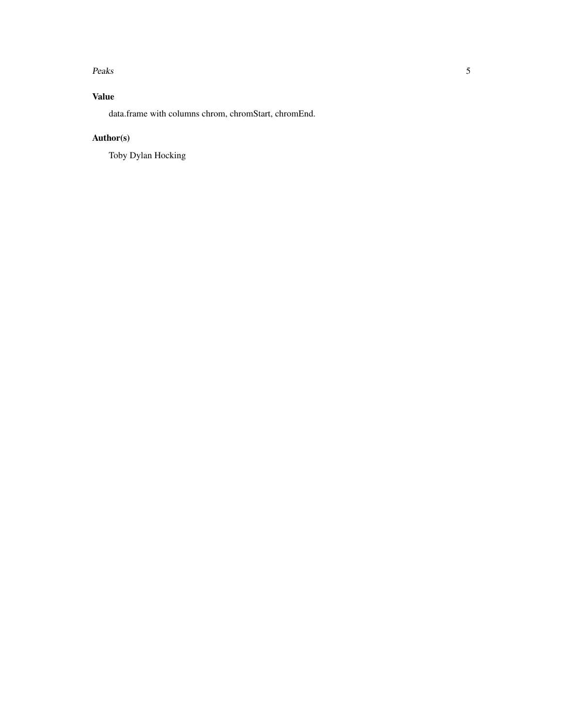#### Peaks 5

# Value

data.frame with columns chrom, chromStart, chromEnd.

# Author(s)

Toby Dylan Hocking